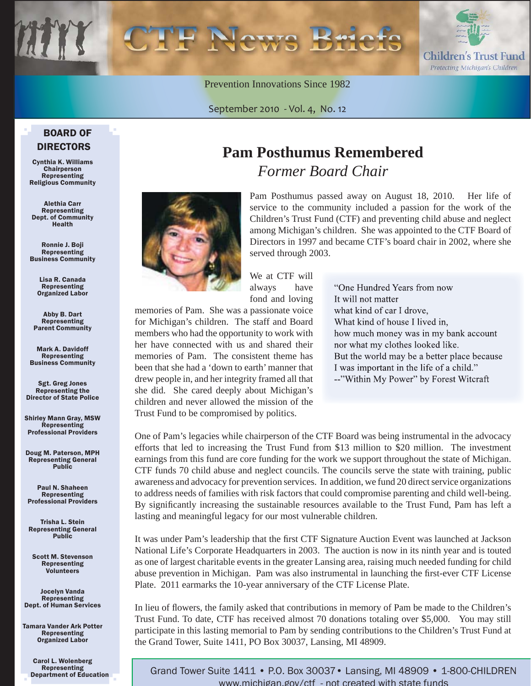Prevention Innovations Since 1982

September 2010 - Vol. 4, No. 12

#### BOARD OF DIRECTORS

Cynthia K. Williams **Chairperson** Representing Religious Community

Alethia Carr Representing Dept. of Community Health

Ronnie J. Boji Representing Business Community

> Lisa R. Canada Representing Organized Labor

Abby B. Dart Representing Parent Community

Mark A. Davidoff Representing Business Community

Sgt. Greg Jones Representing the Director of State Police

Shirley Mann Gray, MSW Representing Professional Providers

Doug M. Paterson, MPH Representing General Public

Paul N. Shaheen Representing Professional Providers

Trisha L. Stein Representing General Public

Scott M. Stevenson Representing Volunteers

Jocelyn Vanda Representing Dept. of Human Services

Tamara Vander Ark Potter Representing Organized Labor

> Carol L. Wolenberg Representing Department of Education

## **Pam Posthumus Remembered** *Former Board Chair*

Pam Posthumus passed away on August 18, 2010. Her life of service to the community included a passion for the work of the Children's Trust Fund (CTF) and preventing child abuse and neglect among Michigan's children. She was appointed to the CTF Board of Directors in 1997 and became CTF's board chair in 2002, where she served through 2003.

We at CTF will always have fond and loving

memories of Pam. She was a passionate voice for Michigan's children. The staff and Board members who had the opportunity to work with her have connected with us and shared their memories of Pam. The consistent theme has been that she had a 'down to earth' manner that drew people in, and her integrity framed all that she did. She cared deeply about Michigan's children and never allowed the mission of the Trust Fund to be compromised by politics.

"One Hundred Years from now It will not matter what kind of car I drove, What kind of house I lived in, how much money was in my bank account nor what my clothes looked like. But the world may be a better place because I was important in the life of a child." --"Within My Power" by Forest Witcraft

One of Pam's legacies while chairperson of the CTF Board was being instrumental in the advocacy efforts that led to increasing the Trust Fund from \$13 million to \$20 million. The investment earnings from this fund are core funding for the work we support throughout the state of Michigan. CTF funds 70 child abuse and neglect councils. The councils serve the state with training, public awareness and advocacy for prevention services. In addition, we fund 20 direct service organizations to address needs of families with risk factors that could compromise parenting and child well-being. By significantly increasing the sustainable resources available to the Trust Fund, Pam has left a lasting and meaningful legacy for our most vulnerable children.

It was under Pam's leadership that the first CTF Signature Auction Event was launched at Jackson National Life's Corporate Headquarters in 2003. The auction is now in its ninth year and is touted as one of largest charitable events in the greater Lansing area, raising much needed funding for child abuse prevention in Michigan. Pam was also instrumental in launching the first-ever CTF License Plate. 2011 earmarks the 10-year anniversary of the CTF License Plate.

In lieu of flowers, the family asked that contributions in memory of Pam be made to the Children's Trust Fund. To date, CTF has received almost 70 donations totaling over \$5,000. You may still participate in this lasting memorial to Pam by sending contributions to the Children's Trust Fund at the Grand Tower, Suite 1411, PO Box 30037, Lansing, MI 48909.

Grand Tower Suite 1411 • P.O. Box 30037• Lansing, MI 48909 • 1-800-CHILDREN www.michigan.gov/ctf - not created with state funds



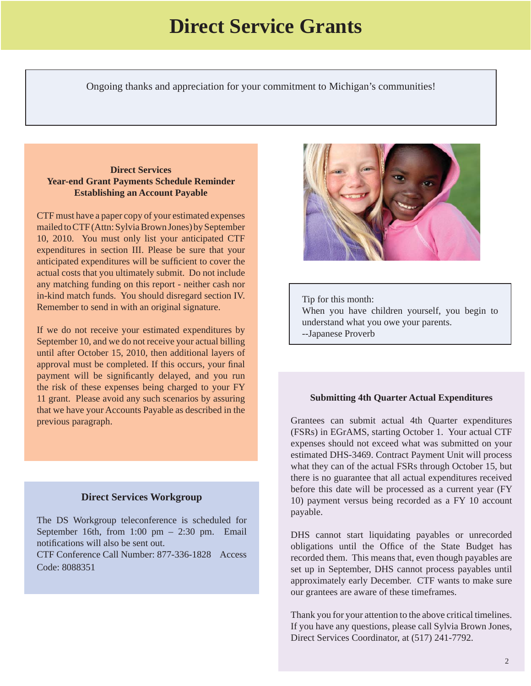## **Direct Service Grants**

Ongoing thanks and appreciation for your commitment to Michigan's communities!

ׇ֞֘֝

#### **Direct Services Year-end Grant Payments Schedule Reminder Establishing an Account Payable**

CTF must have a paper copy of your estimated expenses mailed to CTF (Attn: Sylvia Brown Jones) by September 10, 2010. You must only list your anticipated CTF expenditures in section III. Please be sure that your anticipated expenditures will be sufficient to cover the actual costs that you ultimately submit. Do not include any matching funding on this report - neither cash nor in-kind match funds. You should disregard section IV. Remember to send in with an original signature.

If we do not receive your estimated expenditures by September 10, and we do not receive your actual billing until after October 15, 2010, then additional layers of approval must be completed. If this occurs, your final payment will be significantly delayed, and you run the risk of these expenses being charged to your FY 11 grant. Please avoid any such scenarios by assuring that we have your Accounts Payable as described in the previous paragraph.

#### **Direct Services Workgroup**

The DS Workgroup teleconference is scheduled for September 16th, from  $1:00 \text{ pm} - 2:30 \text{ pm}$ . Email notifications will also be sent out.

CTF Conference Call Number: 877-336-1828 Access Code: 8088351



Tip for this month: When you have children yourself, you begin to understand what you owe your parents. --Japanese Proverb

٦

#### **Submitting 4th Quarter Actual Expenditures**

Grantees can submit actual 4th Quarter expenditures (FSRs) in EGrAMS, starting October 1. Your actual CTF expenses should not exceed what was submitted on your estimated DHS-3469. Contract Payment Unit will process what they can of the actual FSRs through October 15, but there is no guarantee that all actual expenditures received before this date will be processed as a current year (FY 10) payment versus being recorded as a FY 10 account payable.

DHS cannot start liquidating payables or unrecorded obligations until the Office of the State Budget has recorded them. This means that, even though payables are set up in September, DHS cannot process payables until approximately early December. CTF wants to make sure our grantees are aware of these timeframes.

Thank you for your attention to the above critical timelines. If you have any questions, please call Sylvia Brown Jones, Direct Services Coordinator, at (517) 241-7792.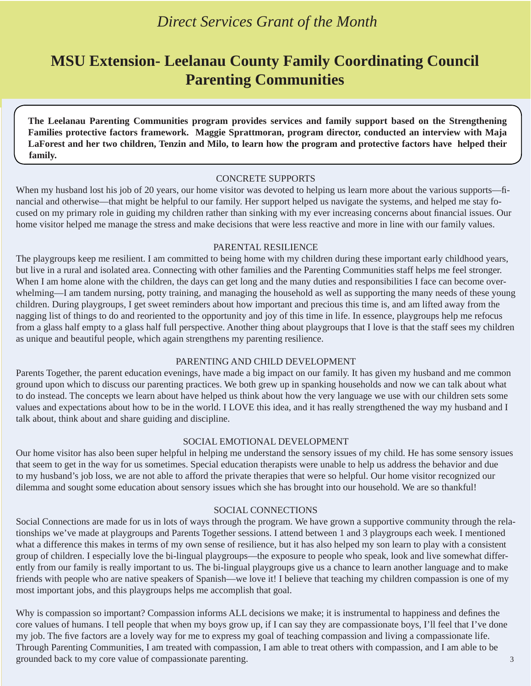## *Direct Services Grant of the Month*

## **MSU Extension- Leelanau County Family Coordinating Council Parenting Communities**

**The Leelanau Parenting Communities program provides services and family support based on the Strengthening Families protective factors framework. Maggie Sprattmoran, program director, conducted an interview with Maja LaForest and her two children, Tenzin and Milo, to learn how the program and protective factors have helped their family.**

#### CONCRETE SUPPORTS

When my husband lost his job of 20 years, our home visitor was devoted to helping us learn more about the various supports—financial and otherwise—that might be helpful to our family. Her support helped us navigate the systems, and helped me stay focused on my primary role in guiding my children rather than sinking with my ever increasing concerns about financial issues. Our home visitor helped me manage the stress and make decisions that were less reactive and more in line with our family values.

#### PARENTAL RESILIENCE

The playgroups keep me resilient. I am committed to being home with my children during these important early childhood years, but live in a rural and isolated area. Connecting with other families and the Parenting Communities staff helps me feel stronger. When I am home alone with the children, the days can get long and the many duties and responsibilities I face can become overwhelming—I am tandem nursing, potty training, and managing the household as well as supporting the many needs of these young children. During playgroups, I get sweet reminders about how important and precious this time is, and am lifted away from the nagging list of things to do and reoriented to the opportunity and joy of this time in life. In essence, playgroups help me refocus from a glass half empty to a glass half full perspective. Another thing about playgroups that I love is that the staff sees my children as unique and beautiful people, which again strengthens my parenting resilience.

#### PARENTING AND CHILD DEVELOPMENT

Parents Together, the parent education evenings, have made a big impact on our family. It has given my husband and me common ground upon which to discuss our parenting practices. We both grew up in spanking households and now we can talk about what to do instead. The concepts we learn about have helped us think about how the very language we use with our children sets some values and expectations about how to be in the world. I LOVE this idea, and it has really strengthened the way my husband and I talk about, think about and share guiding and discipline.

#### SOCIAL EMOTIONAL DEVELOPMENT

Our home visitor has also been super helpful in helping me understand the sensory issues of my child. He has some sensory issues that seem to get in the way for us sometimes. Special education therapists were unable to help us address the behavior and due to my husband's job loss, we are not able to afford the private therapies that were so helpful. Our home visitor recognized our dilemma and sought some education about sensory issues which she has brought into our household. We are so thankful!

#### SOCIAL CONNECTIONS

Social Connections are made for us in lots of ways through the program. We have grown a supportive community through the relationships we've made at playgroups and Parents Together sessions. I attend between 1 and 3 playgroups each week. I mentioned what a difference this makes in terms of my own sense of resilience, but it has also helped my son learn to play with a consistent group of children. I especially love the bi-lingual playgroups—the exposure to people who speak, look and live somewhat differently from our family is really important to us. The bi-lingual playgroups give us a chance to learn another language and to make friends with people who are native speakers of Spanish—we love it! I believe that teaching my children compassion is one of my most important jobs, and this playgroups helps me accomplish that goal.

Why is compassion so important? Compassion informs ALL decisions we make; it is instrumental to happiness and defines the core values of humans. I tell people that when my boys grow up, if I can say they are compassionate boys, I'll feel that I've done my job. The five factors are a lovely way for me to express my goal of teaching compassion and living a compassionate life. Through Parenting Communities, I am treated with compassion, I am able to treat others with compassion, and I am able to be grounded back to my core value of compassionate parenting. 3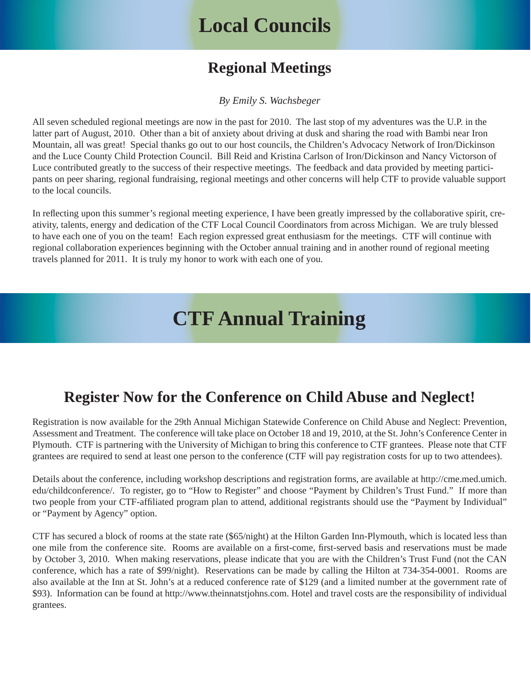## **Local Councils**

## **Regional Meetings**

*By Emily S. Wachsbeger*

All seven scheduled regional meetings are now in the past for 2010. The last stop of my adventures was the U.P. in the latter part of August, 2010. Other than a bit of anxiety about driving at dusk and sharing the road with Bambi near Iron Mountain, all was great! Special thanks go out to our host councils, the Children's Advocacy Network of Iron/Dickinson and the Luce County Child Protection Council. Bill Reid and Kristina Carlson of Iron/Dickinson and Nancy Victorson of Luce contributed greatly to the success of their respective meetings. The feedback and data provided by meeting participants on peer sharing, regional fundraising, regional meetings and other concerns will help CTF to provide valuable support to the local councils.

In reflecting upon this summer's regional meeting experience, I have been greatly impressed by the collaborative spirit, creativity, talents, energy and dedication of the CTF Local Council Coordinators from across Michigan. We are truly blessed to have each one of you on the team! Each region expressed great enthusiasm for the meetings. CTF will continue with regional collaboration experiences beginning with the October annual training and in another round of regional meeting travels planned for 2011. It is truly my honor to work with each one of you.

## **CTF Annual Training**

## **Register Now for the Conference on Child Abuse and Neglect!**

Registration is now available for the 29th Annual Michigan Statewide Conference on Child Abuse and Neglect: Prevention, Assessment and Treatment. The conference will take place on October 18 and 19, 2010, at the St. John's Conference Center in Plymouth. CTF is partnering with the University of Michigan to bring this conference to CTF grantees. Please note that CTF grantees are required to send at least one person to the conference (CTF will pay registration costs for up to two attendees).

Details about the conference, including workshop descriptions and registration forms, are available at http://cme.med.umich. [edu/childconference/. To register, go to "How to Register" and choose "Payment by Children's Trust Fund." If more than](http://cme.med.umich.edu/childconference/)  two people from your CTF-affiliated program plan to attend, additional registrants should use the "Payment by Individual" or "Payment by Agency" option.

CTF has secured a block of rooms at the state rate (\$65/night) at the Hilton Garden Inn-Plymouth, which is located less than one mile from the conference site. Rooms are available on a first-come, first-served basis and reservations must be made by October 3, 2010. When making reservations, please indicate that you are with the Children's Trust Fund (not the CAN conference, which has a rate of \$99/night). Reservations can be made by calling the Hilton at 734-354-0001. Rooms are also available at the Inn at St. John's at a reduced conference rate of \$129 (and a limited number at the government rate of \$93). Information can be found at http://www.theinnatstjohns.com. Hotel and travel costs are the responsibility of individual grantees.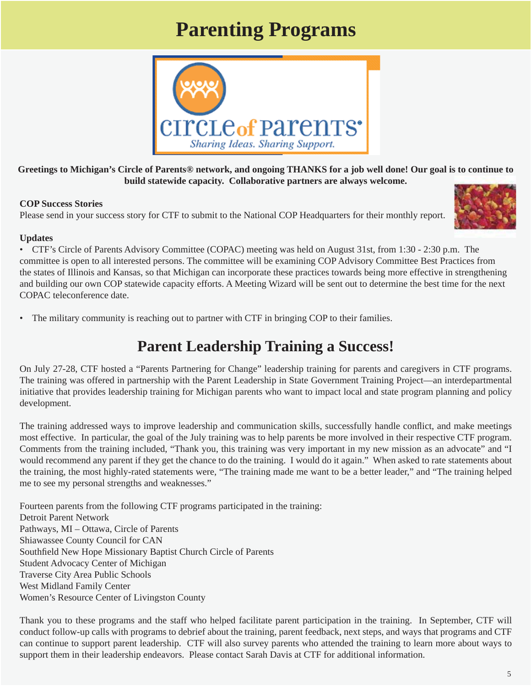## **Parenting Programs**



**Greetings to Michigan's Circle of Parents® network, and ongoing THANKS for a job well done! Our goal is to continue to build statewide capacity. Collaborative partners are always welcome.** 

#### **COP Success Stories**

Please send in your success story for CTF to submit to the National COP Headquarters for their monthly report.



#### **Updates**

• CTF's Circle of Parents Advisory Committee (COPAC) meeting was held on August 31st, from 1:30 - 2:30 p.m. The committee is open to all interested persons. The committee will be examining COP Advisory Committee Best Practices from the states of Illinois and Kansas, so that Michigan can incorporate these practices towards being more effective in strengthening and building our own COP statewide capacity efforts. A Meeting Wizard will be sent out to determine the best time for the next COPAC teleconference date.

• The military community is reaching out to partner with CTF in bringing COP to their families.

## **Parent Leadership Training a Success!**

On July 27-28, CTF hosted a "Parents Partnering for Change" leadership training for parents and caregivers in CTF programs. The training was offered in partnership with the Parent Leadership in State Government Training Project—an interdepartmental initiative that provides leadership training for Michigan parents who want to impact local and state program planning and policy development.

The training addressed ways to improve leadership and communication skills, successfully handle conflict, and make meetings most effective. In particular, the goal of the July training was to help parents be more involved in their respective CTF program. Comments from the training included, "Thank you, this training was very important in my new mission as an advocate" and "I would recommend any parent if they get the chance to do the training. I would do it again." When asked to rate statements about the training, the most highly-rated statements were, "The training made me want to be a better leader," and "The training helped me to see my personal strengths and weaknesses."

Fourteen parents from the following CTF programs participated in the training: Detroit Parent Network Pathways, MI – Ottawa, Circle of Parents Shiawassee County Council for CAN Southfield New Hope Missionary Baptist Church Circle of Parents Student Advocacy Center of Michigan Traverse City Area Public Schools West Midland Family Center Women's Resource Center of Livingston County

Thank you to these programs and the staff who helped facilitate parent participation in the training. In September, CTF will conduct follow-up calls with programs to debrief about the training, parent feedback, next steps, and ways that programs and CTF can continue to support parent leadership. CTF will also survey parents who attended the training to learn more about ways to support them in their leadership endeavors. Please contact Sarah Davis at CTF for additional information.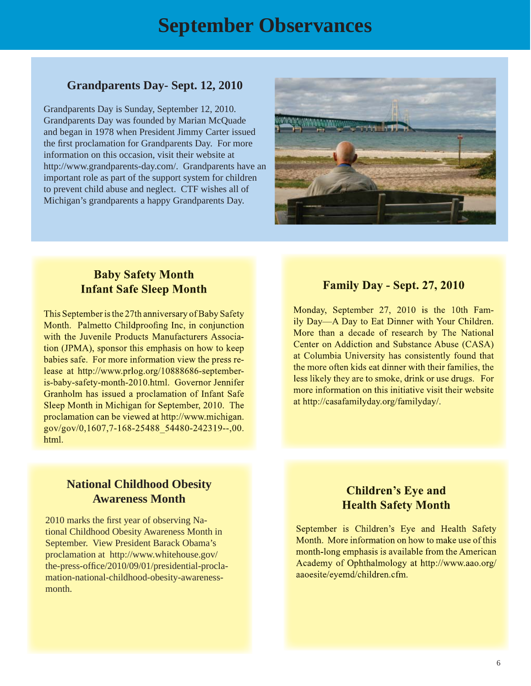## **September Observances**

#### **Grandparents Day- Sept. 12, 2010**

Grandparents Day is Sunday, September 12, 2010. Grandparents Day was founded by Marian McQuade and began in 1978 when President Jimmy Carter issued the first proclamation for Grandparents Day. For more information on this occasion, visit their website at http://www.grandparents-day.com/. Grandparents have an important role as part of the support system for children to prevent child abuse and neglect. CTF wishes all of Michigan's grandparents a happy Grandparents Day.



#### **Baby Safety Month Infant Safe Sleep Month**

This September is the 27th anniversary of Baby Safety Month. Palmetto Childproofing Inc, in conjunction with the Juvenile Products Manufacturers Association (JPMA), sponsor this emphasis on how to keep babies safe. For more information view the press release at http://www.prlog.org/10888686-septemberis-baby-safety-month-2010.html. Governor Jennifer Granholm has issued a proclamation of Infant Safe Sleep Month in Michigan for September, 2010. The proclamation can be viewed at http://www.michigan. gov/gov/0,1607,7-168-25488 54480-242319--,00. html.

#### **Family Day - Sept. 27, 2010**

Monday, September 27, 2010 is the 10th Family Day—A Day to Eat Dinner with Your Children. More than a decade of research by The National Center on Addiction and Substance Abuse (CASA) at Columbia University has consistently found that the more often kids eat dinner with their families, the less likely they are to smoke, drink or use drugs. For more information on this initiative visit their website at http://casafamilyday.org/familyday/.

#### **National Childhood Obesity Awareness Month**

2010 marks the first year of observing National Childhood Obesity Awareness Month in September. View President Barack Obama's proclamation at http://www.whitehouse.gov/ the-press-office/2010/09/01/presidential-procla[mation-national-childhood-obesity-awareness](http://www.whitehouse.gov/the-press-office/2010/09/01/presidential-proclamation-national-childhood-obesity-awareness-month)month.

#### **Children's Eye and Health Safety Month**

September is Children's Eye and Health Safety Month. More information on how to make use of this month-long emphasis is available from the American Academy of Ophthalmology at http://www.aao.org/ aaoesite/eyemd/children.cfm.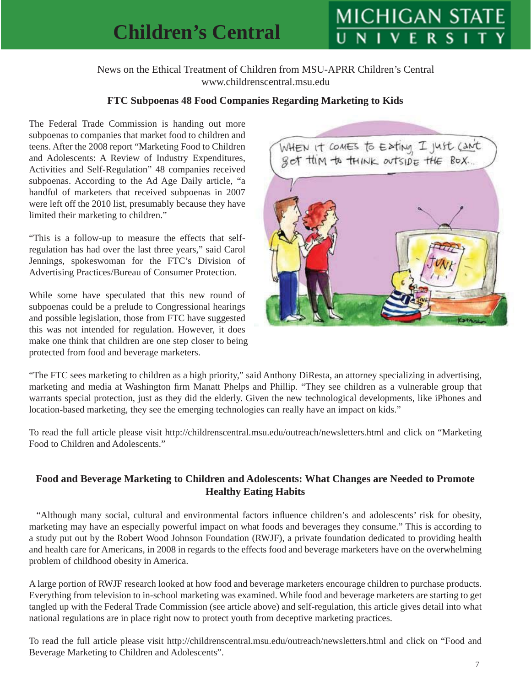## **Children's Central**

# **MICHIGAN STA**

News on the Ethical Treatment of Children from MSU-APRR Children's Central www.childrenscentral.msu.edu

#### **FTC Subpoenas 48 Food Companies Regarding Marketing to Kids**

The Federal Trade Commission is handing out more subpoenas to companies that market food to children and teens. After the 2008 report "Marketing Food to Children and Adolescents: A Review of Industry Expenditures, Activities and Self-Regulation" 48 companies received subpoenas. According to the Ad Age Daily article, "a handful of marketers that received subpoenas in 2007 were left off the 2010 list, presumably because they have limited their marketing to children."

"This is a follow-up to measure the effects that selfregulation has had over the last three years," said Carol Jennings, spokeswoman for the FTC's Division of Advertising Practices/Bureau of Consumer Protection.

While some have speculated that this new round of subpoenas could be a prelude to Congressional hearings and possible legislation, those from FTC have suggested this was not intended for regulation. However, it does make one think that children are one step closer to being protected from food and beverage marketers.



"The FTC sees marketing to children as a high priority," said Anthony DiResta, an attorney specializing in advertising, marketing and media at Washington firm Manatt Phelps and Phillip. "They see children as a vulnerable group that warrants special protection, just as they did the elderly. Given the new technological developments, like iPhones and location-based marketing, they see the emerging technologies can really have an impact on kids."

To read the full article please visit http://childrenscentral.msu.edu/outreach/newsletters.html and click on "Marketing Food to Children and Adolescents."

#### **Food and Beverage Marketing to Children and Adolescents: What Changes are Needed to Promote Healthy Eating Habits**

"Although many social, cultural and environmental factors influence children's and adolescents' risk for obesity, marketing may have an especially powerful impact on what foods and beverages they consume." This is according to a study put out by the Robert Wood Johnson Foundation (RWJF), a private foundation dedicated to providing health and health care for Americans, in 2008 in regards to the effects food and beverage marketers have on the overwhelming problem of childhood obesity in America.

A large portion of RWJF research looked at how food and beverage marketers encourage children to purchase products. Everything from television to in-school marketing was examined. While food and beverage marketers are starting to get tangled up with the Federal Trade Commission (see article above) and self-regulation, this article gives detail into what national regulations are in place right now to protect youth from deceptive marketing practices.

To read the full article please visit http://childrenscentral.msu.edu/outreach/newsletters.html and click on "Food and Beverage Marketing to Children and Adolescents".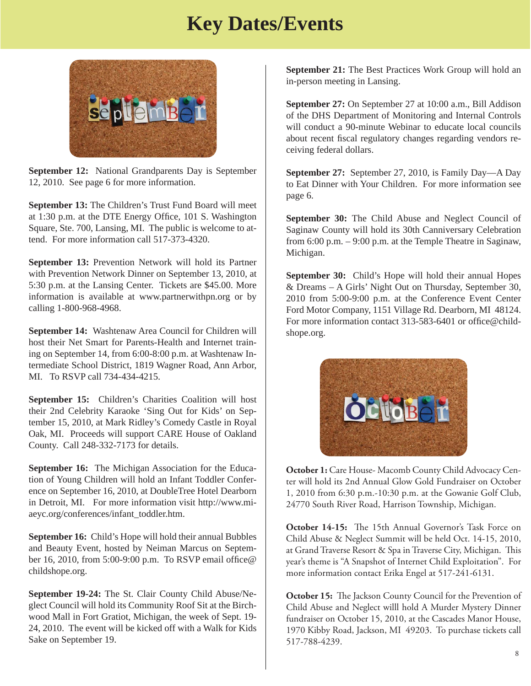## **Key Dates/Events**



**September 12:** National Grandparents Day is September 12, 2010. See page 6 for more information.

**September 13:** The Children's Trust Fund Board will meet at 1:30 p.m. at the DTE Energy Office, 101 S. Washington Square, Ste. 700, Lansing, MI. The public is welcome to attend. For more information call 517-373-4320.

**September 13:** Prevention Network will hold its Partner with Prevention Network Dinner on September 13, 2010, at 5:30 p.m. at the Lansing Center. Tickets are \$45.00. More information is available at www.partnerwithpn.org or by calling 1-800-968-4968.

**September 14:** Washtenaw Area Council for Children will host their Net Smart for Parents-Health and Internet training on September 14, from 6:00-8:00 p.m. at Washtenaw Intermediate School District, 1819 Wagner Road, Ann Arbor, MI. To RSVP call 734-434-4215.

**September 15:** Children's Charities Coalition will host their 2nd Celebrity Karaoke 'Sing Out for Kids' on September 15, 2010, at Mark Ridley's Comedy Castle in Royal Oak, MI. Proceeds will support CARE House of Oakland County. Call 248-332-7173 for details.

**September 16:** The Michigan Association for the Education of Young Children will hold an Infant Toddler Conference on September 16, 2010, at DoubleTree Hotel Dearborn [in Detroit, MI. For more information visit http://www.mi](http://www.miaeyc.org/conferences/infant_toddler.htm)aeyc.org/conferences/infant\_toddler.htm.

**September 16:** Child's Hope will hold their annual Bubbles and Beauty Event, hosted by Neiman Marcus on September 16, 2010, from 5:00-9:00 p.m. To RSVP email office@ childshope.org.

**September 19-24:** The St. Clair County Child Abuse/Neglect Council will hold its Community Roof Sit at the Birchwood Mall in Fort Gratiot, Michigan, the week of Sept. 19- 24, 2010. The event will be kicked off with a Walk for Kids Sake on September 19.

**September 21:** The Best Practices Work Group will hold an in-person meeting in Lansing.

**September 27:** On September 27 at 10:00 a.m., Bill Addison of the DHS Department of Monitoring and Internal Controls will conduct a 90-minute Webinar to educate local councils about recent fiscal regulatory changes regarding vendors receiving federal dollars.

**September 27:** September 27, 2010, is Family Day—A Day to Eat Dinner with Your Children. For more information see page 6.

**September 30:** The Child Abuse and Neglect Council of Saginaw County will hold its 30th Canniversary Celebration from 6:00 p.m. – 9:00 p.m. at the Temple Theatre in Saginaw, Michigan.

**September 30:** Child's Hope will hold their annual Hopes & Dreams – A Girls' Night Out on Thursday, September 30, 2010 from 5:00-9:00 p.m. at the Conference Event Center Ford Motor Company, 1151 Village Rd. Dearborn, MI 48124. For more information contact 313-583-6401 or office@childshope.org.



**October 1:** Care House- Macomb County Child Advocacy Center will hold its 2nd Annual Glow Gold Fundraiser on October 1, 2010 from 6:30 p.m.-10:30 p.m. at the Gowanie Golf Club, 24770 South River Road, Harrison Township, Michigan.

**October 14-15:** The 15th Annual Governor's Task Force on Child Abuse & Neglect Summit will be held Oct. 14-15, 2010, at Grand Traverse Resort & Spa in Traverse City, Michigan. This year's theme is "A Snapshot of Internet Child Exploitation". For more information contact Erika Engel at 517-241-6131.

October 15: The Jackson County Council for the Prevention of Child Abuse and Neglect willl hold A Murder Mystery Dinner fundraiser on October 15, 2010, at the Cascades Manor House, 1970 Kibby Road, Jackson, MI 49203. To purchase tickets call 517-788-4239.